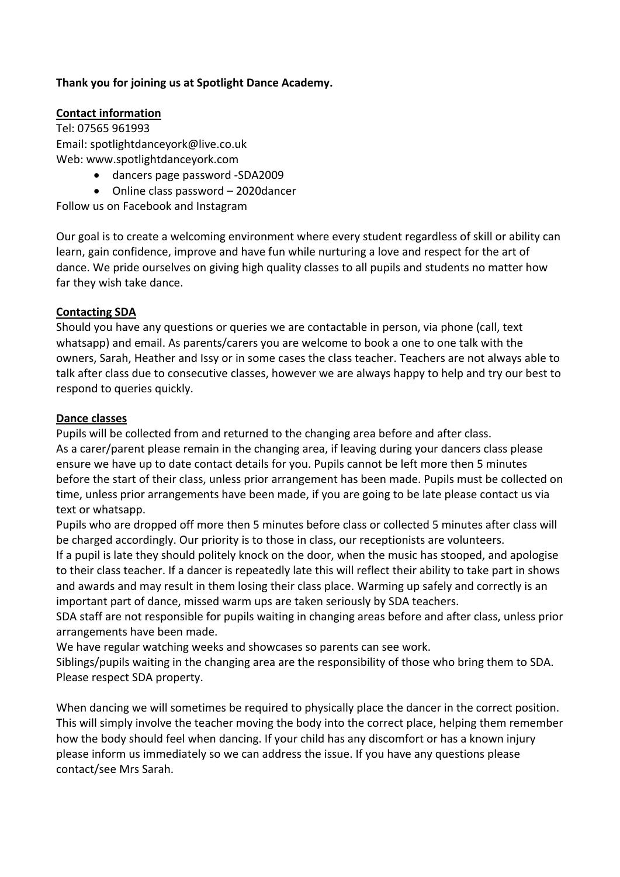## **Thank you for joining us at Spotlight Dance Academy.**

# **Contact information**

Tel: 07565 961993 Email: [spotlightdanceyork@live.co.uk](mailto:spotlightdanceyork@live.co.uk) Web: www.spotlightdanceyork.com

- dancers page password -SDA2009
- Online class password 2020dancer

Follow us on Facebook and Instagram

Our goal is to create a welcoming environment where every student regardless of skill or ability can learn, gain confidence, improve and have fun while nurturing a love and respect for the art of dance. We pride ourselves on giving high quality classes to all pupils and students no matter how far they wish take dance.

#### **Contacting SDA**

Should you have any questions or queries we are contactable in person, via phone (call, text whatsapp) and email. As parents/carers you are welcome to book a one to one talk with the owners, Sarah, Heather and Issy or in some cases the class teacher. Teachers are not always able to talk after class due to consecutive classes, however we are always happy to help and try our best to respond to queries quickly.

#### **Dance classes**

Pupils will be collected from and returned to the changing area before and after class. As a carer/parent please remain in the changing area, if leaving during your dancers class please ensure we have up to date contact details for you. Pupils cannot be left more then 5 minutes before the start of their class, unless prior arrangement has been made. Pupils must be collected on time, unless prior arrangements have been made, if you are going to be late please contact us via text or whatsapp.

Pupils who are dropped off more then 5 minutes before class or collected 5 minutes after class will be charged accordingly. Our priority is to those in class, our receptionists are volunteers.

If a pupil is late they should politely knock on the door, when the music has stooped, and apologise to their class teacher. If a dancer is repeatedly late this will reflect their ability to take part in shows and awards and may result in them losing their class place. Warming up safely and correctly is an important part of dance, missed warm ups are taken seriously by SDA teachers.

SDA staff are not responsible for pupils waiting in changing areas before and after class, unless prior arrangements have been made.

We have regular watching weeks and showcases so parents can see work.

Siblings/pupils waiting in the changing area are the responsibility of those who bring them to SDA. Please respect SDA property.

When dancing we will sometimes be required to physically place the dancer in the correct position. This will simply involve the teacher moving the body into the correct place, helping them remember how the body should feel when dancing. If your child has any discomfort or has a known injury please inform us immediately so we can address the issue. If you have any questions please contact/see Mrs Sarah.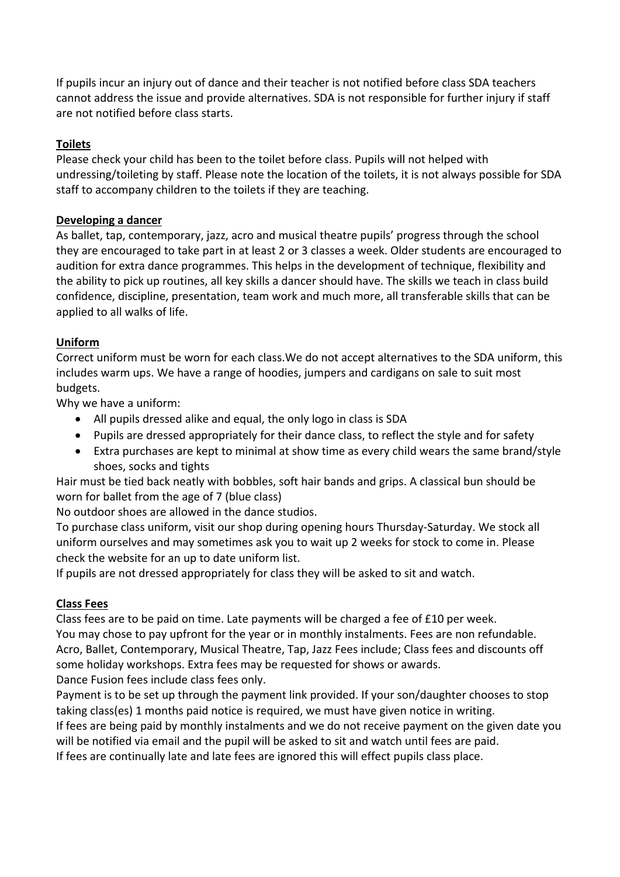If pupils incur an injury out of dance and their teacher is not notified before class SDA teachers cannot address the issue and provide alternatives. SDA is not responsible for further injury if staff are not notified before class starts.

## **Toilets**

Please check your child has been to the toilet before class. Pupils will not helped with undressing/toileting by staff. Please note the location of the toilets, it is not always possible for SDA staff to accompany children to the toilets if they are teaching.

#### **Developing a dancer**

As ballet, tap, contemporary, jazz, acro and musical theatre pupils' progress through the school they are encouraged to take part in at least 2 or 3 classes a week. Older students are encouraged to audition for extra dance programmes. This helps in the development of technique, flexibility and the ability to pick up routines, all key skills a dancer should have. The skills we teach in class build confidence, discipline, presentation, team work and much more, all transferable skills that can be applied to all walks of life.

### **Uniform**

Correct uniform must be worn for each class.We do not accept alternatives to the SDA uniform, this includes warm ups. We have a range of hoodies, jumpers and cardigans on sale to suit most budgets.

Why we have a uniform:

- All pupils dressed alike and equal, the only logo in class is SDA
- Pupils are dressed appropriately for their dance class, to reflect the style and for safety
- Extra purchases are kept to minimal at show time as every child wears the same brand/style shoes, socks and tights

Hair must be tied back neatly with bobbles, soft hair bands and grips. A classical bun should be worn for ballet from the age of 7 (blue class)

No outdoor shoes are allowed in the dance studios.

To purchase class uniform, visit our shop during opening hours Thursday-Saturday. We stock all uniform ourselves and may sometimes ask you to wait up 2 weeks for stock to come in. Please check the website for an up to date uniform list.

If pupils are not dressed appropriately for class they will be asked to sit and watch.

# **Class Fees**

Class fees are to be paid on time. Late payments will be charged a fee of £10 per week. You may chose to pay upfront for the year or in monthly instalments. Fees are non refundable. Acro, Ballet, Contemporary, Musical Theatre, Tap, Jazz Fees include; Class fees and discounts off some holiday workshops. Extra fees may be requested for shows or awards. Dance Fusion fees include class fees only.

Payment is to be set up through the payment link provided. If your son/daughter chooses to stop taking class(es) 1 months paid notice is required, we must have given notice in writing. If fees are being paid by monthly instalments and we do not receive payment on the given date you will be notified via email and the pupil will be asked to sit and watch until fees are paid. If fees are continually late and late fees are ignored this will effect pupils class place.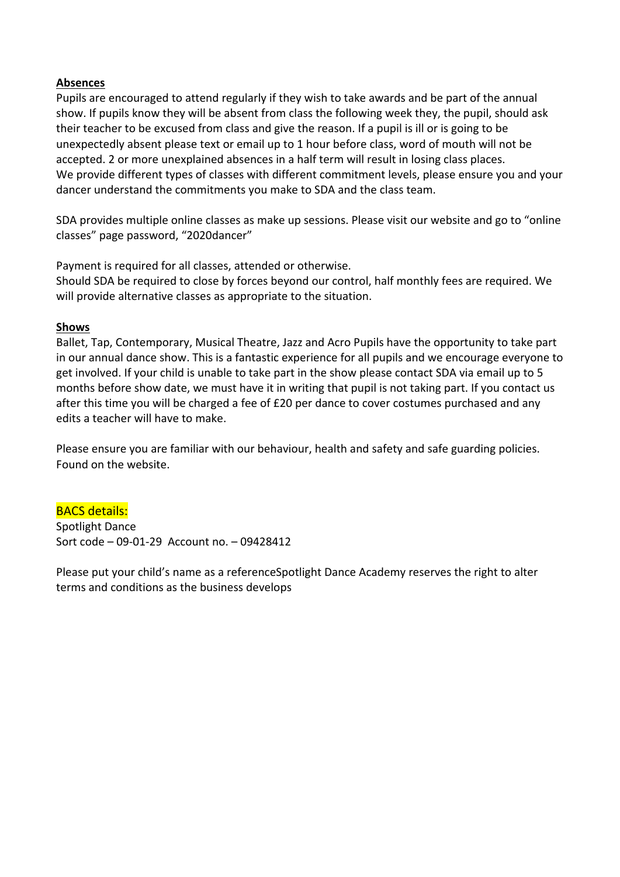#### **Absences**

Pupils are encouraged to attend regularly if they wish to take awards and be part of the annual show. If pupils know they will be absent from class the following week they, the pupil, should ask their teacher to be excused from class and give the reason. If a pupil is ill or is going to be unexpectedly absent please text or email up to 1 hour before class, word of mouth will not be accepted. 2 or more unexplained absences in a half term will result in losing class places. We provide different types of classes with different commitment levels, please ensure you and your dancer understand the commitments you make to SDA and the class team.

SDA provides multiple online classes as make up sessions. Please visit our website and go to "online classes" page password, "2020dancer"

Payment is required for all classes, attended or otherwise.

Should SDA be required to close by forces beyond our control, half monthly fees are required. We will provide alternative classes as appropriate to the situation.

#### **Shows**

Ballet, Tap, Contemporary, Musical Theatre, Jazz and Acro Pupils have the opportunity to take part in our annual dance show. This is a fantastic experience for all pupils and we encourage everyone to get involved. If your child is unable to take part in the show please contact SDA via email up to 5 months before show date, we must have it in writing that pupil is not taking part. If you contact us after this time you will be charged a fee of £20 per dance to cover costumes purchased and any edits a teacher will have to make.

Please ensure you are familiar with our behaviour, health and safety and safe guarding policies. Found on the website.

#### BACS details: Spotlight Dance

Sort code – 09-01-29 Account no. – 09428412

Please put your child's name as a referenceSpotlight Dance Academy reserves the right to alter terms and conditions as the business develops